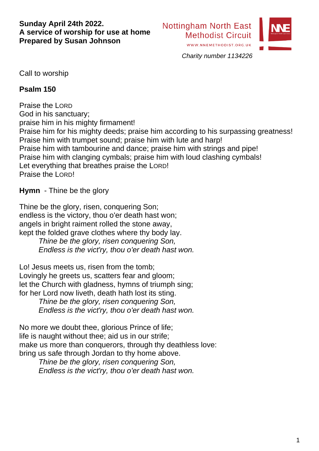#### **Sunday April 24th 2022. A service of worship for use at home Prepared by Susan Johnson**



*Charity number 1134226*

Call to worship

#### **Psalm 150**

Praise the LORD God in his sanctuary; praise him in his mighty firmament! Praise him for his mighty deeds; praise him according to his surpassing greatness! Praise him with trumpet sound; praise him with lute and harp! Praise him with tambourine and dance; praise him with strings and pipe! Praise him with clanging cymbals; praise him with loud clashing cymbals! Let everything that breathes praise the LORD! Praise the LORD!

**Hymn** - Thine be the glory

Thine be the glory, risen, conquering Son; endless is the victory, thou o'er death hast won; angels in bright raiment rolled the stone away, kept the folded grave clothes where thy body lay. *Thine be the glory, risen conquering Son,*

*Endless is the vict'ry, thou o'er death hast won.*

Lo! Jesus meets us, risen from the tomb; Lovingly he greets us, scatters fear and gloom; let the Church with gladness, hymns of triumph sing; for her Lord now liveth, death hath lost its sting.

> *Thine be the glory, risen conquering Son, Endless is the vict'ry, thou o'er death hast won.*

No more we doubt thee, glorious Prince of life; life is naught without thee; aid us in our strife; make us more than conquerors, through thy deathless love: bring us safe through Jordan to thy home above.

*Thine be the glory, risen conquering Son, Endless is the vict'ry, thou o'er death hast won.*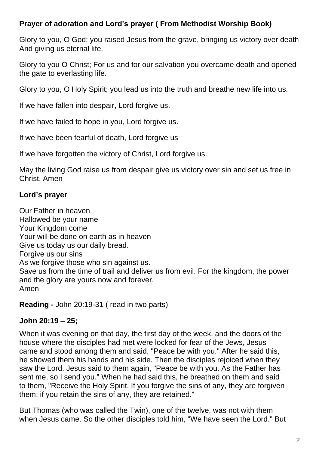# **Prayer of adoration and Lord's prayer ( From Methodist Worship Book)**

Glory to you, O God; you raised Jesus from the grave, bringing us victory over death And giving us eternal life.

Glory to you O Christ; For us and for our salvation you overcame death and opened the gate to everlasting life.

Glory to you, O Holy Spirit; you lead us into the truth and breathe new life into us.

If we have fallen into despair, Lord forgive us.

If we have failed to hope in you, Lord forgive us.

If we have been fearful of death, Lord forgive us

If we have forgotten the victory of Christ, Lord forgive us.

May the living God raise us from despair give us victory over sin and set us free in Christ. Amen

# **Lord's prayer**

Our Father in heaven Hallowed be your name Your Kingdom come Your will be done on earth as in heaven Give us today us our daily bread. Forgive us our sins As we forgive those who sin against us. Save us from the time of trail and deliver us from evil. For the kingdom, the power and the glory are yours now and forever. Amen

**Reading -** John 20:19-31 ( read in two parts)

# **John 20:19 – 25;**

When it was evening on that day, the first day of the week, and the doors of the house where the disciples had met were locked for fear of the Jews, Jesus came and stood among them and said, "Peace be with you." After he said this, he showed them his hands and his side. Then the disciples rejoiced when they saw the Lord. Jesus said to them again, "Peace be with you. As the Father has sent me, so I send you." When he had said this, he breathed on them and said to them, "Receive the Holy Spirit. If you forgive the sins of any, they are forgiven them; if you retain the sins of any, they are retained."

But Thomas (who was called the Twin), one of the twelve, was not with them when Jesus came. So the other disciples told him, "We have seen the Lord." But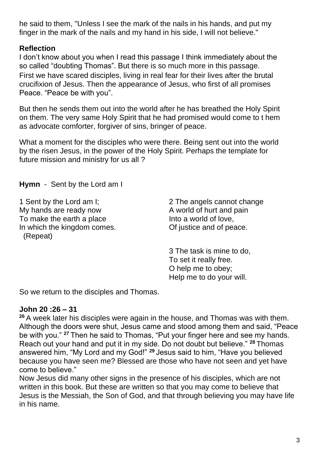he said to them, "Unless I see the mark of the nails in his hands, and put my finger in the mark of the nails and my hand in his side, I will not believe."

# **Reflection**

I don't know about you when I read this passage I think immediately about the so called "doubting Thomas". But there is so much more in this passage. First we have scared disciples, living in real fear for their lives after the brutal crucifixion of Jesus. Then the appearance of Jesus, who first of all promises Peace. "Peace be with you".

But then he sends them out into the world after he has breathed the Holy Spirit on them. The very same Holy Spirit that he had promised would come to t hem as advocate comforter, forgiver of sins, bringer of peace.

What a moment for the disciples who were there. Being sent out into the world by the risen Jesus, in the power of the Holy Spirit. Perhaps the template for future mission and ministry for us all ?

**Hymn** - Sent by the Lord am I

1 Sent by the Lord am I; My hands are ready now To make the earth a place In which the kingdom comes. (Repeat)

2 The angels cannot change A world of hurt and pain Into a world of love, Of justice and of peace.

3 The task is mine to do, To set it really free. O help me to obey; Help me to do your will.

So we return to the disciples and Thomas.

# **John 20 :26 – 31**

**<sup>26</sup>** A week later his disciples were again in the house, and Thomas was with them. Although the doors were shut, Jesus came and stood among them and said, "Peace be with you." **<sup>27</sup>** Then he said to Thomas, "Put your finger here and see my hands. Reach out your hand and put it in my side. Do not doubt but believe." **<sup>28</sup>** Thomas answered him, "My Lord and my God!" **<sup>29</sup>** Jesus said to him, "Have you believed because you have seen me? Blessed are those who have not seen and yet have come to believe."

Now Jesus did many other signs in the presence of his disciples, which are not written in this book. But these are written so that you may come to believe that Jesus is the Messiah, the Son of God, and that through believing you may have life in his name.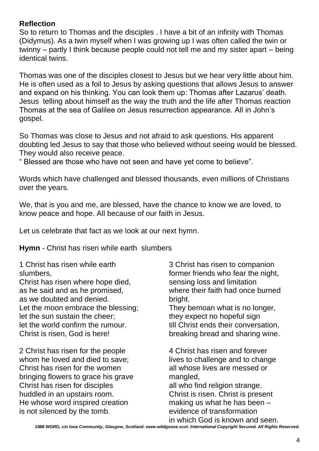#### **Reflection**

So to return to Thomas and the disciples . I have a bit of an infinity with Thomas (Didymus). As a twin myself when I was growing up I was often called the twin or twinny – partly I think because people could not tell me and my sister apart – being identical twins.

Thomas was one of the disciples closest to Jesus but we hear very little about him. He is often used as a foil to Jesus by asking questions that allows Jesus to answer and expand on his thinking. You can look them up: Thomas after Lazarus' death. Jesus telling about himself as the way the truth and the life after Thomas reaction Thomas at the sea of Galilee on Jesus resurrection appearance. All in John's gospel.

So Thomas was close to Jesus and not afraid to ask questions. His apparent doubting led Jesus to say that those who believed without seeing would be blessed. They would also receive peace.

" Blessed are those who have not seen and have yet come to believe".

Words which have challenged and blessed thousands, even millions of Christians over the years.

We, that is you and me, are blessed, have the chance to know we are loved, to know peace and hope. All because of our faith in Jesus.

Let us celebrate that fact as we look at our next hymn.

**Hymn** - [Christ has risen while earth slumbers](http://www.singingthefaithplus.org.uk/?p=2837) 

1 Christ has risen while earth slumbers,

Christ has risen where hope died, as he said and as he promised, as we doubted and denied. Let the moon embrace the blessing; let the sun sustain the cheer; let the world confirm the rumour. Christ is risen, God is here!

2 Christ has risen for the people whom he loved and died to save; Christ has risen for the women bringing flowers to grace his grave Christ has risen for disciples huddled in an upstairs room. He whose word inspired creation is not silenced by the tomb.

3 Christ has risen to companion former friends who fear the night, sensing loss and limitation where their faith had once burned bright. They bemoan what is no longer,

they expect no hopeful sign till Christ ends their conversation, breaking bread and sharing wine.

4 Christ has risen and forever lives to challenge and to change all whose lives are messed or mangled. all who find religion strange. Christ is risen. Christ is present making us what he has been – evidence of transformation in which God is known and seen.